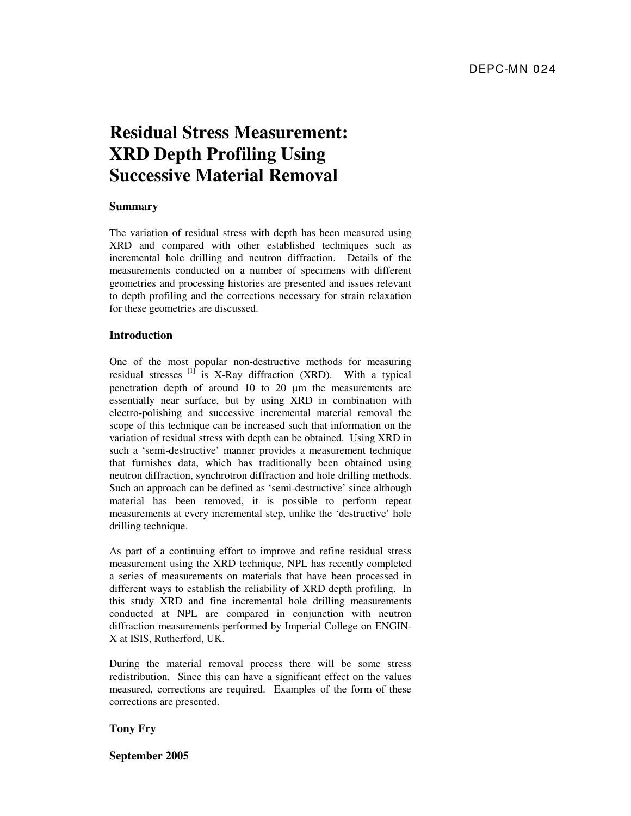# **Residual Stress Measurement: XRD Depth Profiling Using Successive Material Removal**

#### **Summary**

The variation of residual stress with depth has been measured using XRD and compared with other established techniques such as incremental hole drilling and neutron diffraction. Details of the measurements conducted on a number of specimens with different geometries and processing histories are presented and issues relevant to depth profiling and the corrections necessary for strain relaxation for these geometries are discussed.

## **Introduction**

One of the most popular non-destructive methods for measuring residual stresses  $[1]$  is X-Ray diffraction (XRD). With a typical penetration depth of around 10 to 20 µm the measurements are essentially near surface, but by using XRD in combination with electro-polishing and successive incremental material removal the scope of this technique can be increased such that information on the variation of residual stress with depth can be obtained. Using XRD in such a 'semi-destructive' manner provides a measurement technique that furnishes data, which has traditionally been obtained using neutron diffraction, synchrotron diffraction and hole drilling methods. Such an approach can be defined as 'semi-destructive' since although material has been removed, it is possible to perform repeat measurements at every incremental step, unlike the 'destructive' hole drilling technique.

As part of a continuing effort to improve and refine residual stress measurement using the XRD technique, NPL has recently completed a series of measurements on materials that have been processed in different ways to establish the reliability of XRD depth profiling. In this study XRD and fine incremental hole drilling measurements conducted at NPL are compared in conjunction with neutron diffraction measurements performed by Imperial College on ENGIN-X at ISIS, Rutherford, UK.

During the material removal process there will be some stress redistribution. Since this can have a significant effect on the values measured, corrections are required. Examples of the form of these corrections are presented.

#### **Tony Fry**

**September 2005**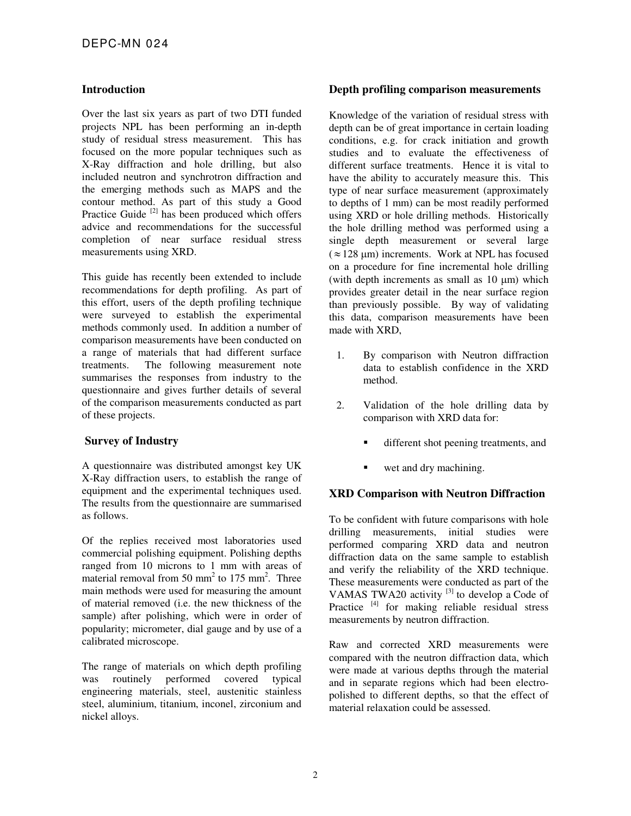## **Introduction**

Over the last six years as part of two DTI funded projects NPL has been performing an in-depth study of residual stress measurement. This has focused on the more popular techniques such as X-Ray diffraction and hole drilling, but also included neutron and synchrotron diffraction and the emerging methods such as MAPS and the contour method. As part of this study a Good Practice Guide<sup>[2]</sup> has been produced which offers advice and recommendations for the successful completion of near surface residual stress measurements using XRD.

This guide has recently been extended to include recommendations for depth profiling. As part of this effort, users of the depth profiling technique were surveyed to establish the experimental methods commonly used. In addition a number of comparison measurements have been conducted on a range of materials that had different surface treatments. The following measurement note summarises the responses from industry to the questionnaire and gives further details of several of the comparison measurements conducted as part of these projects.

# **Survey of Industry**

A questionnaire was distributed amongst key UK X-Ray diffraction users, to establish the range of equipment and the experimental techniques used. The results from the questionnaire are summarised as follows.

Of the replies received most laboratories used commercial polishing equipment. Polishing depths ranged from 10 microns to 1 mm with areas of material removal from  $50 \text{ mm}^2$  to  $175 \text{ mm}^2$ . Three main methods were used for measuring the amount of material removed (i.e. the new thickness of the sample) after polishing, which were in order of popularity; micrometer, dial gauge and by use of a calibrated microscope.

The range of materials on which depth profiling was routinely performed covered typical engineering materials, steel, austenitic stainless steel, aluminium, titanium, inconel, zirconium and nickel alloys.

#### **Depth profiling comparison measurements**

Knowledge of the variation of residual stress with depth can be of great importance in certain loading conditions, e.g. for crack initiation and growth studies and to evaluate the effectiveness of different surface treatments. Hence it is vital to have the ability to accurately measure this. This type of near surface measurement (approximately to depths of 1 mm) can be most readily performed using XRD or hole drilling methods. Historically the hole drilling method was performed using a single depth measurement or several large  $(z = 128 \text{ µm})$  increments. Work at NPL has focused on a procedure for fine incremental hole drilling (with depth increments as small as  $10 \mu m$ ) which provides greater detail in the near surface region than previously possible. By way of validating this data, comparison measurements have been made with XRD,

- 1. By comparison with Neutron diffraction data to establish confidence in the XRD method.
- 2. Validation of the hole drilling data by comparison with XRD data for:
	- different shot peening treatments, and
	- wet and dry machining.

# **XRD Comparison with Neutron Diffraction**

To be confident with future comparisons with hole drilling measurements, initial studies were performed comparing XRD data and neutron diffraction data on the same sample to establish and verify the reliability of the XRD technique. These measurements were conducted as part of the VAMAS TWA20 activity <sup>[3]</sup> to develop a Code of Practice <sup>[4]</sup> for making reliable residual stress measurements by neutron diffraction.

Raw and corrected XRD measurements were compared with the neutron diffraction data, which were made at various depths through the material and in separate regions which had been electropolished to different depths, so that the effect of material relaxation could be assessed.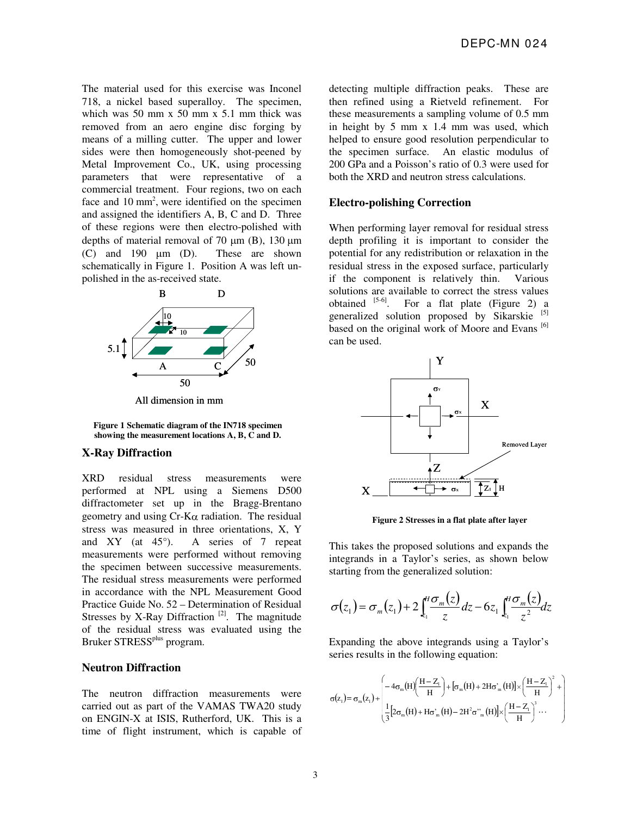The material used for this exercise was Inconel 718, a nickel based superalloy. The specimen, which was 50 mm  $x$  50 mm  $x$  5.1 mm thick was removed from an aero engine disc forging by means of a milling cutter. The upper and lower sides were then homogeneously shot-peened by Metal Improvement Co., UK, using processing parameters that were representative of a commercial treatment. Four regions, two on each face and  $10 \text{ mm}^2$ , were identified on the specimen and assigned the identifiers A, B, C and D. Three of these regions were then electro-polished with depths of material removal of 70  $\mu$ m (B), 130  $\mu$ m  $(C)$  and 190  $\mu$ m  $(D)$ . These are shown schematically in Figure 1. Position A was left unpolished in the as-received state.



All dimension in mm

**Figure 1 Schematic diagram of the IN718 specimen showing the measurement locations A, B, C and D.** 

# **X-Ray Diffraction**

XRD residual stress measurements were performed at NPL using a Siemens D500 diffractometer set up in the Bragg-Brentano geometry and using  $Cr-K\alpha$  radiation. The residual stress was measured in three orientations, X, Y and XY (at 45°). A series of 7 repeat measurements were performed without removing the specimen between successive measurements. The residual stress measurements were performed in accordance with the NPL Measurement Good Practice Guide No. 52 – Determination of Residual Stresses by X-Ray Diffraction<sup>[2]</sup>. The magnitude of the residual stress was evaluated using the Bruker STRESS<sup>plus</sup> program.

#### **Neutron Diffraction**

The neutron diffraction measurements were carried out as part of the VAMAS TWA20 study on ENGIN-X at ISIS, Rutherford, UK. This is a time of flight instrument, which is capable of detecting multiple diffraction peaks. These are then refined using a Rietveld refinement. For these measurements a sampling volume of 0.5 mm in height by 5 mm x 1.4 mm was used, which helped to ensure good resolution perpendicular to the specimen surface. An elastic modulus of 200 GPa and a Poisson's ratio of 0.3 were used for both the XRD and neutron stress calculations.

#### **Electro-polishing Correction**

When performing layer removal for residual stress depth profiling it is important to consider the potential for any redistribution or relaxation in the residual stress in the exposed surface, particularly if the component is relatively thin. Various solutions are available to correct the stress values obtained  $[5-6]$ . For a flat plate (Figure 2) a generalized solution proposed by Sikarskie<sup>[5]</sup> based on the original work of Moore and Evans  $\frac{[6]}{[6]}$ can be used.



**Figure 2 Stresses in a flat plate after layer** 

This takes the proposed solutions and expands the integrands in a Taylor's series, as shown below starting from the generalized solution:

$$
\sigma(z_1) = \sigma_m(z_1) + 2 \int_{z_1}^H \frac{\sigma_m(z)}{z} dz - 6 z_1 \int_{z_1}^H \frac{\sigma_m(z)}{z^2} dz
$$

Expanding the above integrands using a Taylor's series results in the following equation:

$$
\sigma(z_1) = \sigma_m(z_1) + \begin{pmatrix} \displaystyle -4\sigma_m\big(H\big)\bigg(\frac{H-Z_1}{H}\bigg) + \big[\sigma_m\big(H\big) + 2H\sigma_m^*\big(H\big)\big] \times \bigg(\frac{H-Z_1}{H}\bigg)^2 + \\ \\ \displaystyle \frac{1}{3}\big[2\sigma_m\big(H\big) + H\sigma_m^*\big(H\big) - 2H^2\sigma^{\prime\prime}_{m}\big(H\big)\big] \times \bigg(\frac{H-Z_1}{H}\bigg)^3 \cdots \end{pmatrix}
$$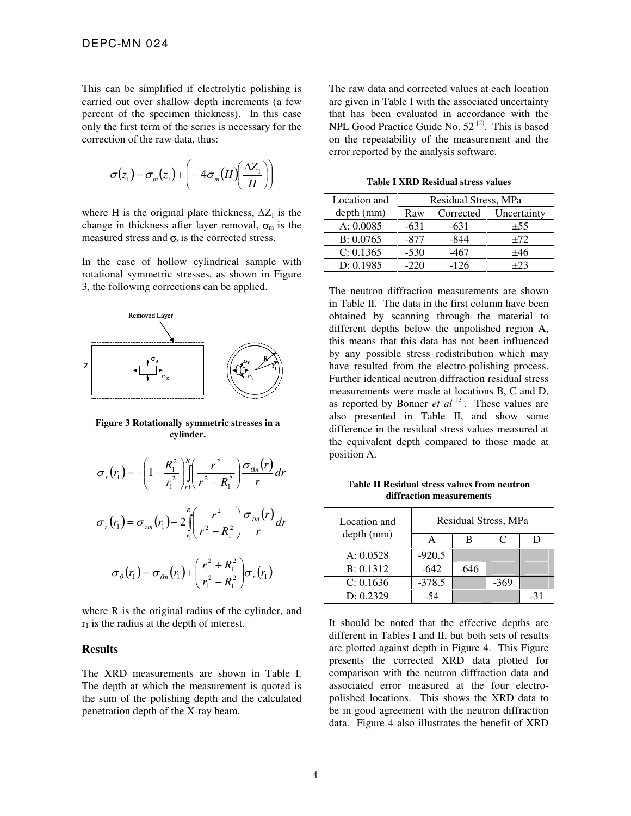This can be simplified if electrolytic polishing is carried out over shallow depth increments (a few percent of the specimen thickness). In this case only the first term of the series is necessary for the correction of the raw data, thus:

$$
\sigma(z_1) = \sigma_m(z_1) + \left(-4\sigma_m(H)\left(\frac{\Delta Z_1}{H}\right)\right)
$$

where H is the original plate thickness,  $\Delta Z_1$  is the change in thickness after layer removal,  $\sigma_m$  is the measured stress and  $\sigma_z$  is the corrected stress.

In the case of hollow cylindrical sample with rotational symmetric stresses, as shown in Figure 3, the following corrections can be applied.



**Figure 3 Rotationally symmetric stresses in a cylinder.**

$$
\sigma_r(r_1) = -\left(1 - \frac{R_1^2}{r_1^2}\right) \int_{r_1}^R \left(\frac{r^2}{r^2 - R_1^2}\right) \frac{\sigma_{\theta n}(r)}{r} dr
$$
  

$$
\sigma_z(r_1) = \sigma_{z m}(r_1) - 2 \int_{r_1}^R \left(\frac{r^2}{r^2 - R_1^2}\right) \frac{\sigma_{z m}(r)}{r} dr
$$
  

$$
\sigma_\theta(r_1) = \sigma_{\theta m}(r_1) + \left(\frac{r_1^2 + R_1^2}{r_1^2 - R_1^2}\right) \sigma_r(r_1)
$$

where R is the original radius of the cylinder, and  $r_1$  is the radius at the depth of interest.

#### **Results**

The XRD measurements are shown in Table I. The depth at which the measurement is quoted is the sum of the polishing depth and the calculated penetration depth of the X-ray beam.

The raw data and corrected values at each location are given in Table I with the associated uncertainty that has been evaluated in accordance with the NPL Good Practice Guide No.  $52^{[2]}$ . This is based on the repeatability of the measurement and the error reported by the analysis software.

**Table I XRD Residual stress values** 

| Location and | Residual Stress, MPa |           |             |  |  |
|--------------|----------------------|-----------|-------------|--|--|
| depth (mm)   | Raw                  | Corrected | Uncertainty |  |  |
| A: 0.0085    | $-631$               | $-631$    | ±55         |  |  |
| B: 0.0765    | $-877$               | $-844$    | ±72         |  |  |
| C: 0.1365    | $-530$               | $-467$    | ±46         |  |  |
| D: 0.1985    | $-220$               | $-126$    | $+23$       |  |  |

The neutron diffraction measurements are shown in Table II. The data in the first column have been obtained by scanning through the material to different depths below the unpolished region A, this means that this data has not been influenced by any possible stress redistribution which may have resulted from the electro-polishing process. Further identical neutron diffraction residual stress measurements were made at locations B, C and D, as reported by Bonner *et al* [3]. These values are also presented in Table II, and show some difference in the residual stress values measured at the equivalent depth compared to those made at position A.

**Table II Residual stress values from neutron diffraction measurements** 

| Location and<br>depth (mm) | Residual Stress, MPa |      |        |  |  |
|----------------------------|----------------------|------|--------|--|--|
|                            |                      | R    | C      |  |  |
| A: 0.0528                  | $-920.5$             |      |        |  |  |
| B: 0.1312                  | $-642$               | -646 |        |  |  |
| C: 0.1636                  | $-378.5$             |      | $-369$ |  |  |
| D: 0.2329                  |                      |      |        |  |  |

It should be noted that the effective depths are different in Tables I and II, but both sets of results are plotted against depth in Figure 4. This Figure presents the corrected XRD data plotted for comparison with the neutron diffraction data and associated error measured at the four electropolished locations. This shows the XRD data to be in good agreement with the neutron diffraction data. Figure 4 also illustrates the benefit of XRD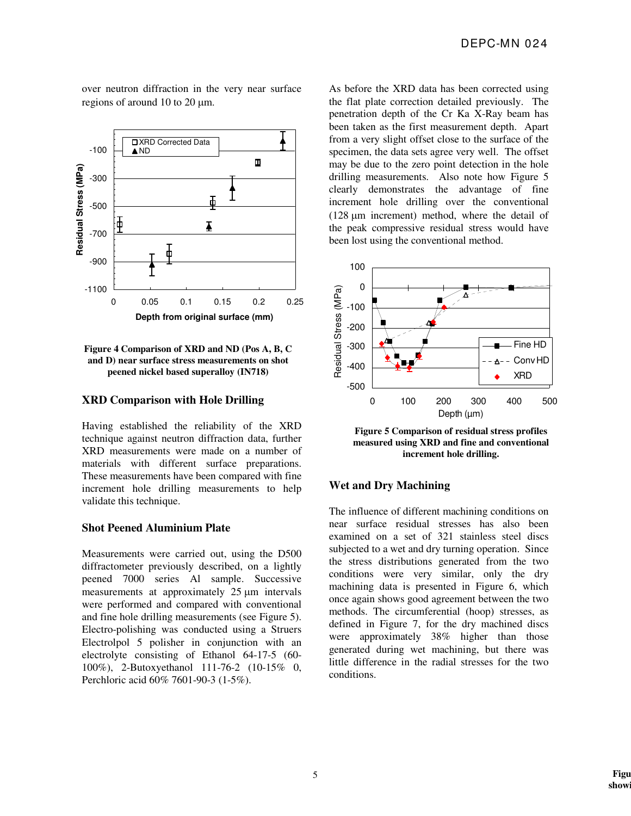over neutron diffraction in the very near surface regions of around 10 to 20  $\mu$ m.



#### **Figure 4 Comparison of XRD and ND (Pos A, B, C and D) near surface stress measurements on shot peened nickel based superalloy (IN718)**

## **XRD Comparison with Hole Drilling**

Having established the reliability of the XRD technique against neutron diffraction data, further XRD measurements were made on a number of materials with different surface preparations. These measurements have been compared with fine increment hole drilling measurements to help validate this technique.

#### **Shot Peened Aluminium Plate**

Measurements were carried out, using the D500 diffractometer previously described, on a lightly peened 7000 series Al sample. Successive measurements at approximately 25  $\mu$ m intervals were performed and compared with conventional and fine hole drilling measurements (see Figure 5). Electro-polishing was conducted using a Struers Electrolpol 5 polisher in conjunction with an electrolyte consisting of Ethanol 64-17-5 (60- 100%), 2-Butoxyethanol 111-76-2 (10-15% 0, Perchloric acid 60% 7601-90-3 (1-5%).

As before the XRD data has been corrected using the flat plate correction detailed previously. The penetration depth of the Cr Ka X-Ray beam has been taken as the first measurement depth. Apart from a very slight offset close to the surface of the specimen, the data sets agree very well. The offset may be due to the zero point detection in the hole drilling measurements. Also note how Figure 5 clearly demonstrates the advantage of fine increment hole drilling over the conventional ( $128 \mu m$  increment) method, where the detail of the peak compressive residual stress would have been lost using the conventional method.



**Figure 5 Comparison of residual stress profiles measured using XRD and fine and conventional increment hole drilling.** 

#### **Wet and Dry Machining**

The influence of different machining conditions on near surface residual stresses has also been examined on a set of 321 stainless steel discs subjected to a wet and dry turning operation. Since the stress distributions generated from the two conditions were very similar, only the dry machining data is presented in Figure 6, which once again shows good agreement between the two methods. The circumferential (hoop) stresses, as defined in Figure 7, for the dry machined discs were approximately 38% higher than those generated during wet machining, but there was little difference in the radial stresses for the two conditions.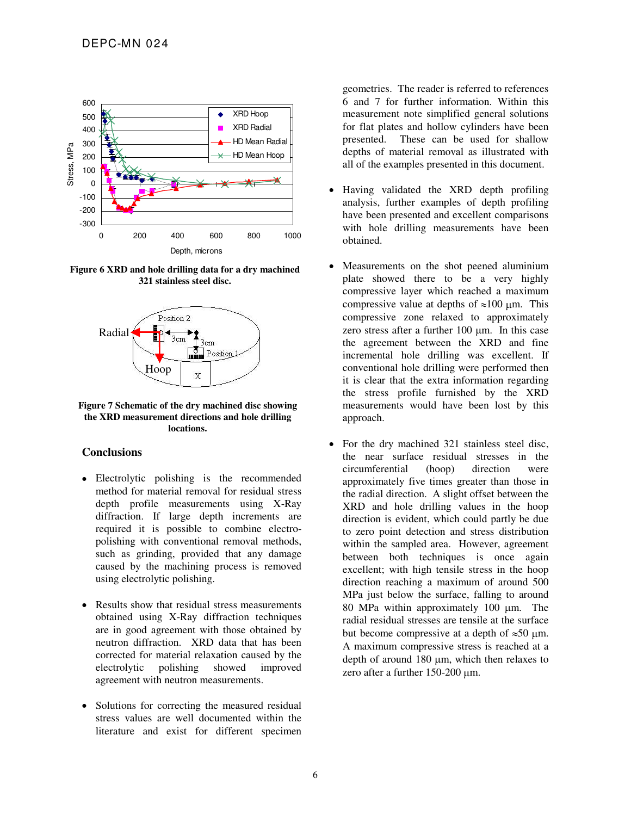

**Figure 6 XRD and hole drilling data for a dry machined 321 stainless steel disc.**



**Figure 7 Schematic of the dry machined disc showing the XRD measurement directions and hole drilling locations.** 

#### **Conclusions**

- Electrolytic polishing is the recommended method for material removal for residual stress depth profile measurements using X-Ray diffraction. If large depth increments are required it is possible to combine electropolishing with conventional removal methods, such as grinding, provided that any damage caused by the machining process is removed using electrolytic polishing.
- Results show that residual stress measurements obtained using X-Ray diffraction techniques are in good agreement with those obtained by neutron diffraction. XRD data that has been corrected for material relaxation caused by the electrolytic polishing showed improved agreement with neutron measurements.
- Solutions for correcting the measured residual stress values are well documented within the literature and exist for different specimen

geometries. The reader is referred to references 6 and 7 for further information. Within this measurement note simplified general solutions for flat plates and hollow cylinders have been presented. These can be used for shallow depths of material removal as illustrated with all of the examples presented in this document.

- Having validated the XRD depth profiling analysis, further examples of depth profiling have been presented and excellent comparisons with hole drilling measurements have been obtained.
- Measurements on the shot peened aluminium plate showed there to be a very highly compressive layer which reached a maximum compressive value at depths of  $\approx 100$  µm. This compressive zone relaxed to approximately zero stress after a further 100 um. In this case the agreement between the XRD and fine incremental hole drilling was excellent. If conventional hole drilling were performed then it is clear that the extra information regarding the stress profile furnished by the XRD measurements would have been lost by this approach.
- For the dry machined 321 stainless steel disc, the near surface residual stresses in the circumferential (hoop) direction were approximately five times greater than those in the radial direction. A slight offset between the XRD and hole drilling values in the hoop direction is evident, which could partly be due to zero point detection and stress distribution within the sampled area. However, agreement between both techniques is once again excellent; with high tensile stress in the hoop direction reaching a maximum of around 500 MPa just below the surface, falling to around 80 MPa within approximately 100  $\mu$ m. The radial residual stresses are tensile at the surface but become compressive at a depth of  $\approx 50$  µm. A maximum compressive stress is reached at a depth of around  $180 \mu m$ , which then relaxes to zero after a further  $150-200 \mu m$ .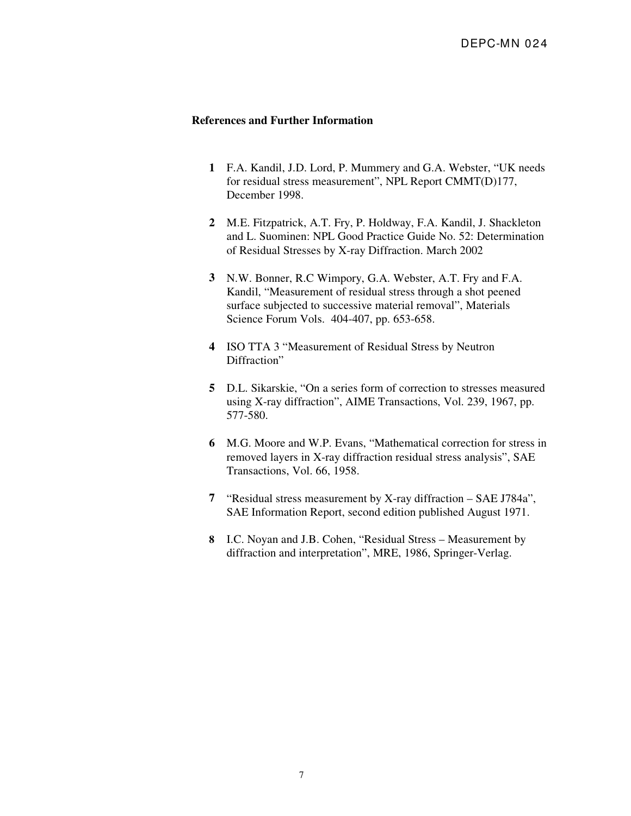## **References and Further Information**

- **1** F.A. Kandil, J.D. Lord, P. Mummery and G.A. Webster, "UK needs for residual stress measurement", NPL Report CMMT(D)177, December 1998.
- **2** M.E. Fitzpatrick, A.T. Fry, P. Holdway, F.A. Kandil, J. Shackleton and L. Suominen: NPL Good Practice Guide No. 52: Determination of Residual Stresses by X-ray Diffraction. March 2002
- **3** N.W. Bonner, R.C Wimpory, G.A. Webster, A.T. Fry and F.A. Kandil, "Measurement of residual stress through a shot peened surface subjected to successive material removal", Materials Science Forum Vols. 404-407, pp. 653-658.
- **4** ISO TTA 3 "Measurement of Residual Stress by Neutron Diffraction"
- **5** D.L. Sikarskie, "On a series form of correction to stresses measured using X-ray diffraction", AIME Transactions, Vol. 239, 1967, pp. 577-580.
- **6** M.G. Moore and W.P. Evans, "Mathematical correction for stress in removed layers in X-ray diffraction residual stress analysis", SAE Transactions, Vol. 66, 1958.
- **7** "Residual stress measurement by X-ray diffraction SAE J784a", SAE Information Report, second edition published August 1971.
- **8** I.C. Noyan and J.B. Cohen, "Residual Stress Measurement by diffraction and interpretation", MRE, 1986, Springer-Verlag.